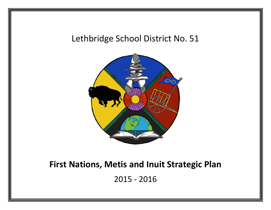# Lethbridge School District No. 51



# **First Nations, Metis and Inuit Strategic Plan**

2015 - 2016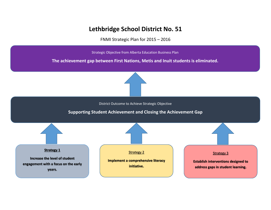# **Lethbridge School District No. 51**

FNMI Strategic Plan for 2015 – 2016

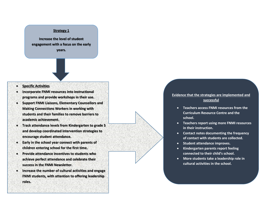**Increase the level of student engagement with a focus on the early years.** 

#### • **Specific Activities**

- **Incorporate FNMI resources into instructional programs and provide workshops in their use.**
- **Support FNMI Liaisons, Elementary Counsellors and Making Connections Workers in working with students and their families to remove barriers to academic achievement.**
- **Track attendance levels from Kindergarten to grade 5 and develop coordinated intervention strategies to encourage student attendance.**
- **Early in the school year connect with parents of children entering school for the first time.**
- **Provide attendance incentives to students who achieve perfect attendance and celebrate their success in the FNMI Newsletter.**
- **Increase the number of cultural activities and engage FNMI students, with attention to offering leadership roles.**

- **Teachers access FNMI resources from the Curriculum Resource Centre and the school.**
- **Teachers report using more FNMI resources in their instruction.**
- **Contact notes documenting the frequency of contact with students are collected.**
- **Student attendance improves.**
- **Kindergarten parents report feeling connected to their child's school.**
- **More students take a leadership role in cultural activities in the school.**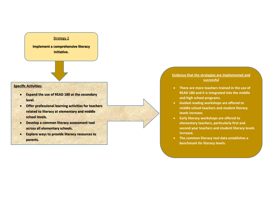**Implement a comprehensive literacy initiative.** 

## **Specific Activities:**

- **Expand the use of READ 180 at the secondary level.**
- **Offer professional learning activities for teachers related to literacy at elementary and middle school levels.**
- **Develop a common literacy assessment tool across all elementary schools.**
- **Explore ways to provide literacy resources to parents.**

- **There are more teachers trained in the use of READ 180 and it is integrated into the middle and high school programs.**
- **Guided reading workshops are offered to middle school teachers and student literacy levels increase.**
- **Early literacy workshops are offered to elementary teachers, particularly first and second year teachers and student literacy levels increase.**
- **The common literacy tool data establishes a benchmark for literacy levels.**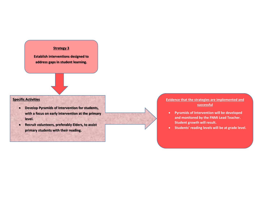**Establish interventions designed to address gaps in student learning.**

## **Specific Activities**

- **Develop Pyramids of Intervention for students, with a focus on early intervention at the primary level.**
- **Recruit volunteers, preferably Elders, to assist primary students with their reading.**

- **Pyramids of Intervention will be developed and monitored by the FNMI Lead Teacher. Student growth will result.**
- **Students' reading levels will be at grade level.**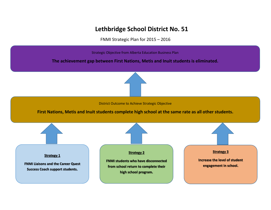# **Lethbridge School District No. 51**

FNMI Strategic Plan for 2015 – 2016

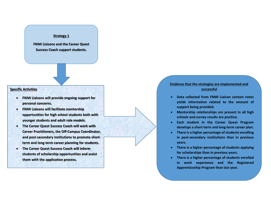**FNMI Liaisons and the Career Quest Success Coach support students.** 

#### **Specific Activities**

- **FNMI Liaisons will provide ongoing support for personal concerns.**
- **FNMI Liaisons will facilitate mentorship opportunities for high school students both with younger students and adult role models.**
- **The Career Quest Success Coach will work with Career Practitioners, the Off-Campus Coordinator, and post-secondary institutions to promote shortterm and long-term career planning for students.**
- **The Career Quest Success Coach will inform students of scholarship opportunities and assist them with the application process.**

- **Data collected from FNMI Liaison contact notes yields information related to the amount of support being provided.**
- **Mentorship relationships are present in all high schools and survey results are positive.**
- **Each student in the Career Quest Program develops a short-term and long-term career plan.**
- **There is a higher percentage of students enrolling in post-secondary institutions than in previous years.**
- **There is a higher percentage of students applying for scholarships than in previous years.**
- **There is a higher percentage of students enrolled in work experience and the Registered Apprenticeship Program than last year.**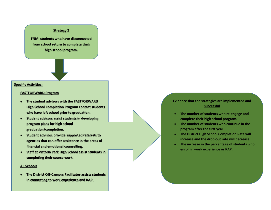**FNMI students who have disconnected from school return to complete their high school program.**

#### **Specific Activities:**

#### **FASTFORWARD Program**

- **The student advisors with the FASTFORWARD High School Completion Program contact students who have left school prior to graduation.**
- **Student advisors assist students in developing program plans for high school graduation/completion.**
- **Student advisors provide supported referrals to agencies that can offer assistance in the areas of financial and emotional counselling.**
- **Staff at Victoria Park High School assist students in completing their course work.**

#### **All Schools**

• **The District Off-Campus Facilitator assists students in connecting to work experience and RAP.**

- **The number of students who re-engage and complete their high school program.**
- **The number of students who continue in the program after the first year.**
- **The District High School Completion Rate will increase and the drop-out rate will decrease.**
- **The increase in the percentage of students who enroll in work experience or RAP.**